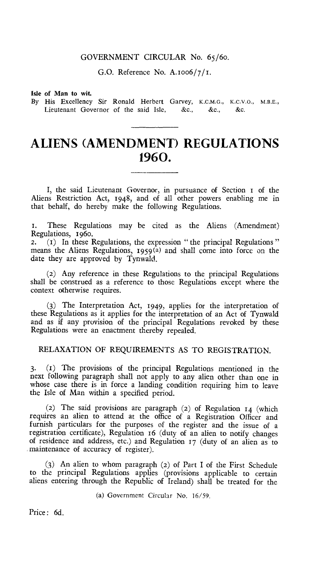#### GOVERNMENT CIRCULAR No. 65/6o.

G.O. Reference No. A.1006/7/1.

#### Isle of Man to wit.

By His Excellency Sir Ronald Herbert Garvey, K.C.M.G., K.C.V.O., M.B.E., Lieutenant Governor of the said Isle, &c., &c., &c.

# **ALIENS (AMENDMENT) REGULATIONS 1960.**

I, the said Lieutenant Governor, in pursuance of Section i of the Aliens Restriction Act, 1948, and of all other powers enabling me in that behalf, do hereby make the following Regulations.

1. These Regulations may be cited as the Aliens (Amendment) Regulations,  $1960$ .<br>2. (1) In these F

2. (1) In these Regulations, the expression " the principal Regulations " means the Aliens Regulations,  $1959(a)$  and shall come into force on the date they are approved by Tynwald.

(2) Any reference in these Regulations to the principal Regulations shall be construed as a reference to those Regulations except where the context otherwise requires.

(3) The Interpretation Act, 1949, applies for the interpretation of these Regulations as it applies for the interpretation of an Act of Tynwald and as if any provision of the principal Regulations revoked by these Regulations were an enactment thereby repealed.

# RELAXATION OF REQUIREMENTS AS TO REGISTRATION.

3. (r) The provisions of the principal Regulations mentioned in the next following paragraph shall not apply to any alien other than one in whose case there is in force a landing condition requiring him to leave the Isle of Man within a specified period.

(2) The said provisions are paragraph (2) of Regulation 14 (which requires an alien to attend at the office of a Registration Officer and furnish particulars for the purposes of the register and the issue of a registration certificate), Regulation 16 (duty of an alien to notify changes of residence and address, etc.) and Regulation 17 (duty of an alien as to maintenance of accuracy of register).

(3) An alien to whom paragraph (2) of Part I of the First Schedule to the principal Regulations applies (provisions applicable to certain aliens entering through the Republic of Ireland) shall be treated for the

(a) Government Circular No. 16/59.

Price: 6d.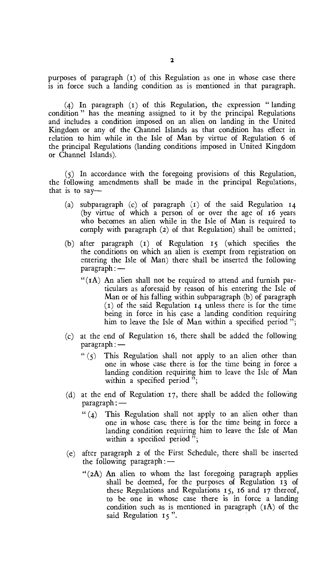purposes of paragraph (1) of this Regulation as one in whose case there is in force such a landing condition as is mentioned in that paragraph.

(4) In paragraph (i) of this Regulation, the expression " landing condition " has the meaning assigned to it by the principal Regulations and includes a condition imposed on an alien on landing in the United Kingdom or any of the Channel Islands as that condition has effect in relation to him while in the Isle of Man by virtue of Regulation 6 of the principal Regulations (landing conditions imposed in United Kingdom or Channel Islands).

(5) In accordance with the foregoing provisions of this Regulation, the following amendments shall be made in the principal Regulations, that is to say—

- (a) subparagraph (c) of paragraph  $(1)$  of the said Regulation 14 (by virtue of which a person of or over the age of r6 years who becomes an alien while in the Isle of Man is required to comply with paragraph (2) of that Regulation) shall be omitted;
- (b) after paragraph (1) of Regulation 15 (which specifies the the conditions on which an alien is exempt from registration on entering the Isle of Man) there shall be inserted the following paragraph : —
	- "(IA) An alien shall not be required to attend and furnish particulars as aforesaid by reason of his entering the Isle of Man or of his falling within subparagraph (b) of paragraph (i) of the said Regulation 14 unless there is for the time being in force in his case a landing condition requiring him to leave the Isle of Man within a specified period ";
- (c) at the end of Regulation 16, there shall be added the following paragraph : —
	- " $(5)$  This Regulation shall not apply to an alien other than one in whose case there is for the time being in force a landing condition requiring him to leave the Isle of Man within a specified period ";
- (d) at the end of Regulation i7, there shall be added the following paragraph : —
	- " (4) This Regulation shall not apply to an alien other than one in whose case there is for the time being in force a landing condition requiring him to leave the Isle of Man within a specified period  $\overline{r}$ ;
- (e) after paragraph **2** of the First Schedule, there shall be inserted the following paragraph  $:$   $-$ 
	- "(2A) An alien to whom the last foregoing paragraph applies shall be deemed, for the purposes of Regulation 13 of these Regulations and Regulations 15, i6 and 17 thereof, to be one in whose case there is in force a landing condition such as is mentioned in paragraph  $(IA)$  of the said Regulation 15".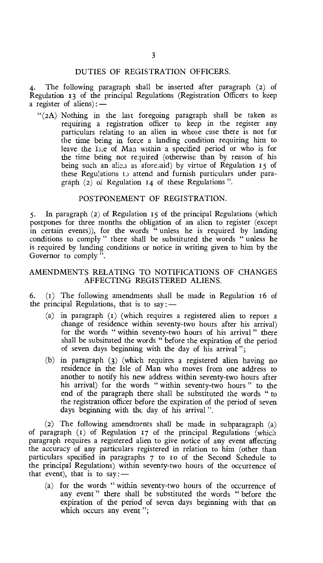#### DUTIES OF REGISTRATION OFFICERS.

The following paragraph shall be inserted after paragraph (2) of Regulation 13 of the principal Regulations (Registration Officers to keep a register of aliens):-

"(2A) Nothing in the last foregoing paragraph shall be taken as requiring a registration officer to keep in the register any particulars relating to an alien in whose case there is not for the time being in force a landing condition requiring him to leave the Isle of Man within a specified period or who is for the time being not required (otherwise than by reason of his being such an alien as aforesaid) by virtue of Regulation 15 of these Regulations to attend and furnish particulars under paragraph  $(2)$  of Regulation 14 of these Regulations".

## POSTPONEMENT OF REGISTRATION.

5. In paragraph (2) of Regulation 15 of the principal Regulations (which postpones for three months the obligation of an alien to register (except in certain events)), for the words " unless he is required by landing conditions to comply " there shall be substituted the words " unless he is required by landing conditions or notice in writing given to him by the Governor to comply  $\ddot{v}$ .

#### AMENDMENTS RELATING TO NOTIFICATIONS OF CHANGES AFFECTING REGISTERED ALIENS.

6. (I) The following amendments shall be made in Regulation 16 of the principal Regulations, that is to say :  $-$ 

- (a) in paragraph (t) (which requires a registered alien to report a change of residence within seventy-two hours after his arrival) for the words " within seventy-two hours of his arrival " there shall be subsituted the words " before the expiration of the period of seven days beginning with the day of his arrival ";
- (b) in paragraph (3) (which requires a registered alien having no residence in the Isle of Man who moves from one address to another to notify his new address within seventy-two hours after his arrival) for the words " within seventy-two hours " to the end of the paragraph there shall be substituted the words " to the registration officer before the expiration of the period of seven days beginning with the day of his arrival ".

(2) The following amendments shall be made in subparagraph (a) of paragraph (1) of Regulation 17 of the principal Regulations (which paragraph requires a registered alien to give notice of any event affecting the accuracy of any particulars registered in relation to him (other than particulars specified in paragraphs 7 to to of the Second Schedule to the principal Regulations) within seventy-two hours of the occurrence of that event), that is to say :  $-$ 

(a) for the words " within seventy-two hours of the occurrence of any event" there shall be substituted the words " before the expiration of the period of seven days beginning with that on which occurs any event";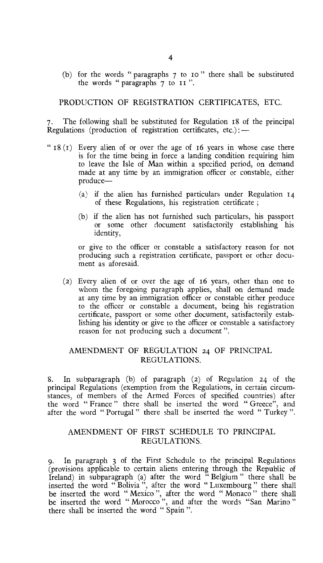(b) for the words " paragraphs  $7$  to  $10$ " there shall be substituted the words " paragraphs  $7$  to II".

PRODUCTION OF REGISTRATION CERTIFICATES, ETC.

7. The following shall be substituted for Regulation 18 of the principal Regulations (production of registration certificates, etc.) : —

- " $18$  (I) Every alien of or over the age of 16 years in whose case there is for the time being in force a landing condition requiring him to leave the Isle of Man within a specified period, on demand made at any time by an immigration officer or constable, either produce—
	- (a) if the alien has furnished particulars under Regulation 14 of these Regulations, his registration certificate ;
	- (b) if the alien has not furnished such particulars, his passport or some other document satisfactorily establishing his identity,

or give to the officer or constable a satisfactory reason for not producing such a registration certificate, passport or other document as aforesaid.

(2) Every alien of or over the age of i6 years, other than one to whom the foregoing paragraph applies, shall on demand made at any time by an immigration officer or constable either produce to the officer or constable a document, being his registration certificate, passport or some other document, satisfactorily establishing his identity or give to the officer or constable a satisfactory reason for not producing such a document ".

## AMENDMENT OF REGULATION 24 OF PRINCIPAL REGULATIONS.

8. In subparagraph (b) of paragraph (2) of Regulation 24 of the principal Regulations (exemption from the Regulations, in certain circumstances, of members of the Armed Forces of specified countries) after the word "France" there shall be inserted the word "Greece", and after the word " Portugal " there shall be inserted the word " Turkey ".

## AMENDMENT OF FIRST SCHEDULE TO PRINCIPAL REGULATIONS.

9. In paragraph 3 of the First Schedule to the principal Regulations (provisions applicable to certain aliens entering through the Republic of Ireland) in subparagraph (a) after the word " Belgium " there shall be inserted the word " Bolivia ", after the word " Luxembourg " there shall be inserted the word " Mexico ", after the word " Monaco " there shall be inserted the word " Morocco ", and after the words "San Marino " there shall be inserted the word " Spain ".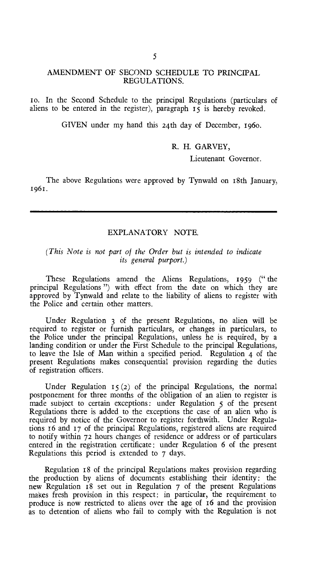#### 5

#### AMENDMENT OF SECOND SCHEDULE TO PRINCIPAL REGULATIONS.

to. In the Second Schedule to the principal Regulations (particulars of aliens to be entered in the register), paragraph 15 is hereby revoked.

GIVEN under my hand this 24th day of December, 196o.

## R. H. GARVEY,

Lieutenant Governor.

The above Regulations were approved by Tynwald on i8th January, 1961.

## EXPLANATORY NOTE.

## *(This Note is not part of the Order but is intended to indicate its general purport.)*

These Regulations amend the Aliens Regulations, 1959 (" the principal Regulations ") with effect from the date on which they are approved by Tynwald and relate to the liability of aliens to register with the Police and certain other matters.

Under Regulation 3 of the present Regulations, no alien will be required to register or furnish particulars, or changes in particulars, to the Police under the principal Regulations, unless he is required, by a landing condition or under the First Schedule to the principal Regulations, to leave the Isle of Man within a specified period. Regulation 4 of the present Regulations makes consequential provision regarding the duties of registration officers.

Under Regulation  $15(2)$  of the principal Regulations, the normal postponement for three months of the obligation of an alien to register is made subject to certain exceptions: under Regulation 5 of the present Regulations there is added to the exceptions the case of an alien who is required by notice of the Governor to register forthwith. Under Regulations 16 and 17 of the principal Regulations, registered aliens are required to notify within 72 hours changes of residence or address or of particulars entered in the registration certificate : under Regulation 6 of the present Regulations this period is extended to 7 days.

Regulation 18 of the principal Regulations makes provision regarding the production by aliens of documents establishing their identity: the new Regulation 18 set out in Regulation 7 of the present Regulations makes fresh provision in this respect: in particular, the requirement to produce is now restricted to aliens over the age of 16 and the provision as to detention of aliens who fail to comply with the Regulation is not